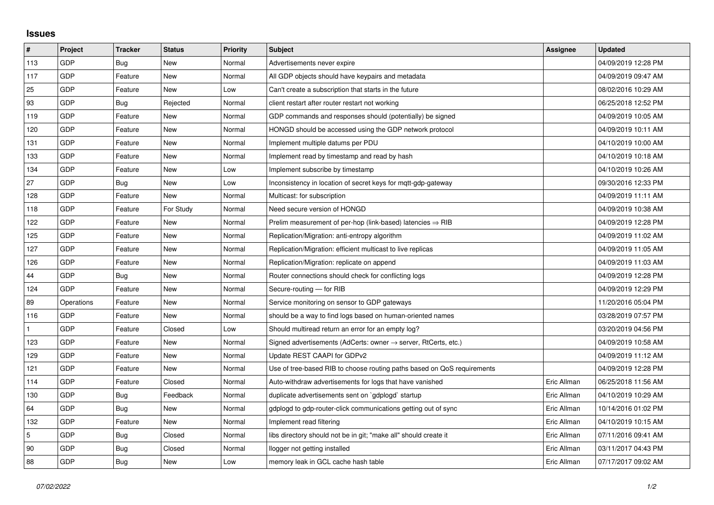## **Issues**

| #   | Project    | <b>Tracker</b> | <b>Status</b> | <b>Priority</b> | <b>Subject</b>                                                             | <b>Assignee</b> | <b>Updated</b>      |
|-----|------------|----------------|---------------|-----------------|----------------------------------------------------------------------------|-----------------|---------------------|
| 113 | GDP        | Bug            | New           | Normal          | Advertisements never expire                                                |                 | 04/09/2019 12:28 PM |
| 117 | GDP        | Feature        | <b>New</b>    | Normal          | All GDP objects should have keypairs and metadata                          |                 | 04/09/2019 09:47 AM |
| 25  | GDP        | Feature        | New           | Low             | Can't create a subscription that starts in the future                      |                 | 08/02/2016 10:29 AM |
| 93  | GDP        | Bug            | Rejected      | Normal          | client restart after router restart not working                            |                 | 06/25/2018 12:52 PM |
| 119 | GDP        | Feature        | <b>New</b>    | Normal          | GDP commands and responses should (potentially) be signed                  |                 | 04/09/2019 10:05 AM |
| 120 | GDP        | Feature        | New           | Normal          | HONGD should be accessed using the GDP network protocol                    |                 | 04/09/2019 10:11 AM |
| 131 | GDP        | Feature        | <b>New</b>    | Normal          | Implement multiple datums per PDU                                          |                 | 04/10/2019 10:00 AM |
| 133 | GDP        | Feature        | New           | Normal          | Implement read by timestamp and read by hash                               |                 | 04/10/2019 10:18 AM |
| 134 | GDP        | Feature        | New           | Low             | Implement subscribe by timestamp                                           |                 | 04/10/2019 10:26 AM |
| 27  | GDP        | Bug            | <b>New</b>    | Low             | Inconsistency in location of secret keys for mgtt-gdp-gateway              |                 | 09/30/2016 12:33 PM |
| 128 | GDP        | Feature        | <b>New</b>    | Normal          | Multicast: for subscription                                                |                 | 04/09/2019 11:11 AM |
| 118 | GDP        | Feature        | For Study     | Normal          | Need secure version of HONGD                                               |                 | 04/09/2019 10:38 AM |
| 122 | GDP        | Feature        | <b>New</b>    | Normal          | Prelim measurement of per-hop (link-based) latencies $\Rightarrow$ RIB     |                 | 04/09/2019 12:28 PM |
| 125 | GDP        | Feature        | New           | Normal          | Replication/Migration: anti-entropy algorithm                              |                 | 04/09/2019 11:02 AM |
| 127 | GDP        | Feature        | New           | Normal          | Replication/Migration: efficient multicast to live replicas                |                 | 04/09/2019 11:05 AM |
| 126 | GDP        | Feature        | <b>New</b>    | Normal          | Replication/Migration: replicate on append                                 |                 | 04/09/2019 11:03 AM |
| 44  | GDP        | Bug            | New           | Normal          | Router connections should check for conflicting logs                       |                 | 04/09/2019 12:28 PM |
| 124 | GDP        | Feature        | New           | Normal          | Secure-routing - for RIB                                                   |                 | 04/09/2019 12:29 PM |
| 89  | Operations | Feature        | <b>New</b>    | Normal          | Service monitoring on sensor to GDP gateways                               |                 | 11/20/2016 05:04 PM |
| 116 | GDP        | Feature        | New           | Normal          | should be a way to find logs based on human-oriented names                 |                 | 03/28/2019 07:57 PM |
|     | GDP        | Feature        | Closed        | Low             | Should multiread return an error for an empty log?                         |                 | 03/20/2019 04:56 PM |
| 123 | GDP        | Feature        | <b>New</b>    | Normal          | Signed advertisements (AdCerts: owner $\rightarrow$ server, RtCerts, etc.) |                 | 04/09/2019 10:58 AM |
| 129 | GDP        | Feature        | New           | Normal          | Update REST CAAPI for GDPv2                                                |                 | 04/09/2019 11:12 AM |
| 121 | GDP        | Feature        | <b>New</b>    | Normal          | Use of tree-based RIB to choose routing paths based on QoS requirements    |                 | 04/09/2019 12:28 PM |
| 114 | GDP        | Feature        | Closed        | Normal          | Auto-withdraw advertisements for logs that have vanished                   | Eric Allman     | 06/25/2018 11:56 AM |
| 130 | GDP        | Bug            | Feedback      | Normal          | duplicate advertisements sent on `gdplogd` startup                         | Eric Allman     | 04/10/2019 10:29 AM |
| 64  | GDP        | <b>Bug</b>     | New           | Normal          | gdplogd to gdp-router-click communications getting out of sync             | Eric Allman     | 10/14/2016 01:02 PM |
| 132 | GDP        | Feature        | New           | Normal          | Implement read filtering                                                   | Eric Allman     | 04/10/2019 10:15 AM |
| 5   | GDP        | Bug            | Closed        | Normal          | libs directory should not be in git; "make all" should create it           | Eric Allman     | 07/11/2016 09:41 AM |
| 90  | GDP        | Bug            | Closed        | Normal          | llogger not getting installed                                              | Eric Allman     | 03/11/2017 04:43 PM |
| 88  | GDP        | <b>Bug</b>     | New           | Low             | memory leak in GCL cache hash table                                        | Eric Allman     | 07/17/2017 09:02 AM |